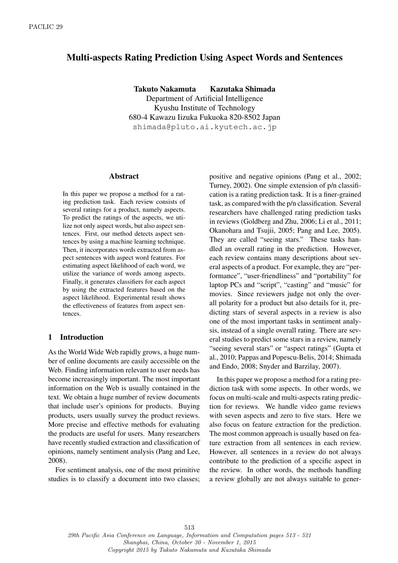# Multi-aspects Rating Prediction Using Aspect Words and Sentences

Takuto Nakamuta Kazutaka Shimada Department of Artificial Intelligence Kyushu Institute of Technology 680-4 Kawazu Iizuka Fukuoka 820-8502 Japan shimada@pluto.ai.kyutech.ac.jp

#### Abstract

In this paper we propose a method for a rating prediction task. Each review consists of several ratings for a product, namely aspects. To predict the ratings of the aspects, we utilize not only aspect words, but also aspect sentences. First, our method detects aspect sentences by using a machine learning technique. Then, it incorporates words extracted from aspect sentences with aspect word features. For estimating aspect likelihood of each word, we utilize the variance of words among aspects. Finally, it generates classifiers for each aspect by using the extracted features based on the aspect likelihood. Experimental result shows the effectiveness of features from aspect sentences.

# 1 Introduction

As the World Wide Web rapidly grows, a huge number of online documents are easily accessible on the Web. Finding information relevant to user needs has become increasingly important. The most important information on the Web is usually contained in the text. We obtain a huge number of review documents that include user's opinions for products. Buying products, users usually survey the product reviews. More precise and effective methods for evaluating the products are useful for users. Many researchers have recently studied extraction and classification of opinions, namely sentiment analysis (Pang and Lee, 2008).

For sentiment analysis, one of the most primitive studies is to classify a document into two classes; positive and negative opinions (Pang et al., 2002; Turney, 2002). One simple extension of p/n classification is a rating prediction task. It is a finer-grained task, as compared with the p/n classification. Several researchers have challenged rating prediction tasks in reviews (Goldberg and Zhu, 2006; Li et al., 2011; Okanohara and Tsujii, 2005; Pang and Lee, 2005). They are called "seeing stars." These tasks handled an overall rating in the prediction. However, each review contains many descriptions about several aspects of a product. For example, they are "performance", "user-friendliness" and "portability" for laptop PCs and "script", "casting" and "music" for movies. Since reviewers judge not only the overall polarity for a product but also details for it, predicting stars of several aspects in a review is also one of the most important tasks in sentiment analysis, instead of a single overall rating. There are several studies to predict some stars in a review, namely "seeing several stars" or "aspect ratings" (Gupta et al., 2010; Pappas and Popescu-Belis, 2014; Shimada and Endo, 2008; Snyder and Barzilay, 2007).

In this paper we propose a method for a rating prediction task with some aspects. In other words, we focus on multi-scale and multi-aspects rating prediction for reviews. We handle video game reviews with seven aspects and zero to five stars. Here we also focus on feature extraction for the prediction. The most common approach is usually based on feature extraction from all sentences in each review. However, all sentences in a review do not always contribute to the prediction of a specific aspect in the review. In other words, the methods handling a review globally are not always suitable to gener-

29th Pacific Asia Conference on Language, Information and Computation pages 513 - 521 Shanghai, China, October 30 - November 1, 2015 Copyright 2015 by Takuto Nakamuta and Kazutaka Shimada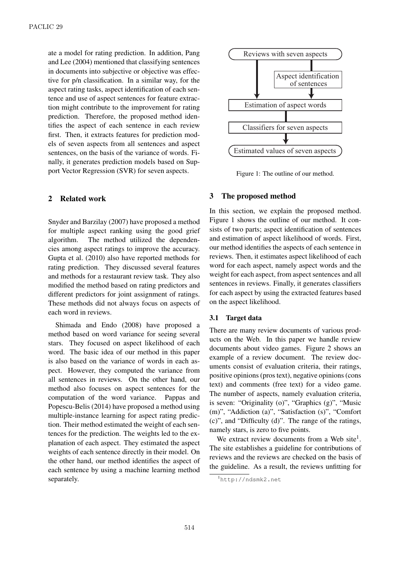ate a model for rating prediction. In addition, Pang and Lee (2004) mentioned that classifying sentences in documents into subjective or objective was effective for p/n classification. In a similar way, for the aspect rating tasks, aspect identification of each sentence and use of aspect sentences for feature extraction might contribute to the improvement for rating prediction. Therefore, the proposed method identifies the aspect of each sentence in each review first. Then, it extracts features for prediction models of seven aspects from all sentences and aspect sentences, on the basis of the variance of words. Finally, it generates prediction models based on Support Vector Regression (SVR) for seven aspects.

# 2 Related work

Snyder and Barzilay (2007) have proposed a method for multiple aspect ranking using the good grief algorithm. The method utilized the dependencies among aspect ratings to improve the accuracy. Gupta et al. (2010) also have reported methods for rating prediction. They discussed several features and methods for a restaurant review task. They also modified the method based on rating predictors and different predictors for joint assignment of ratings. These methods did not always focus on aspects of each word in reviews.

Shimada and Endo (2008) have proposed a method based on word variance for seeing several stars. They focused on aspect likelihood of each word. The basic idea of our method in this paper is also based on the variance of words in each aspect. However, they computed the variance from all sentences in reviews. On the other hand, our method also focuses on aspect sentences for the computation of the word variance. Pappas and Popescu-Belis (2014) have proposed a method using multiple-instance learning for aspect rating prediction. Their method estimated the weight of each sentences for the prediction. The weights led to the explanation of each aspect. They estimated the aspect weights of each sentence directly in their model. On the other hand, our method identifies the aspect of each sentence by using a machine learning method separately.



Figure 1: The outline of our method.

# 3 The proposed method

In this section, we explain the proposed method. Figure 1 shows the outline of our method. It consists of two parts; aspect identification of sentences and estimation of aspect likelihood of words. First, our method identifies the aspects of each sentence in reviews. Then, it estimates aspect likelihood of each word for each aspect, namely aspect words and the weight for each aspect, from aspect sentences and all sentences in reviews. Finally, it generates classifiers for each aspect by using the extracted features based on the aspect likelihood.

## 3.1 Target data

There are many review documents of various products on the Web. In this paper we handle review documents about video games. Figure 2 shows an example of a review document. The review documents consist of evaluation criteria, their ratings, positive opinions (pros text), negative opinions (cons text) and comments (free text) for a video game. The number of aspects, namely evaluation criteria, is seven: "Originality (o)", "Graphics (g)", "Music (m)", "Addiction (a)", "Satisfaction (s)", "Comfort (c)", and "Difficulty (d)". The range of the ratings, namely stars, is zero to five points.

We extract review documents from a Web site<sup>1</sup>. The site establishes a guideline for contributions of reviews and the reviews are checked on the basis of the guideline. As a result, the reviews unfitting for

<sup>1</sup>http://ndsmk2.net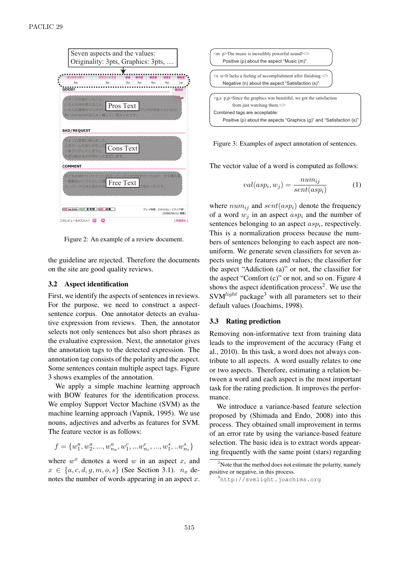

Figure 2: An example of a review document.

the guideline are rejected. Therefore the documents on the site are good quality reviews.

# 3.2 Aspect identification

First, we identify the aspects of sentences in reviews. For the purpose, we need to construct a aspectsentence corpus. One annotator detects an evaluative expression from reviews. Then, the annotator selects not only sentences but also short phrases as the evaluative expression. Next, the annotator gives the annotation tags to the detected expression. The annotation tag consists of the polarity and the aspect. Some sentences contain multiple aspect tags. Figure 3 shows examples of the annotation.

We apply a simple machine learning approach with BOW features for the identification process. We employ Support Vector Machine (SVM) as the machine learning approach (Vapnik, 1995). We use nouns, adjectives and adverbs as features for SVM. The feature vector is as follows:

$$
f=\{w^{a}_{1},w^{a}_{2},...,w^{a}_{n_{a}},w^{c}_{1},...w^{c}_{n_{c}},...,w^{s}_{1},...w^{s}_{n_{s}}\}
$$

where  $w^x$  denotes a word  $w$  in an aspect  $x$ , and *x* ∈ {*a, c, d, g, m, o, s*} (See Section 3.1). *n<sub>x</sub>* denotes the number of words appearing in an aspect *x*.



Figure 3: Examples of aspect annotation of sentences.

The vector value of a word is computed as follows:

$$
val(asp_i, w_j) = \frac{num_{ij}}{sent(asp_i)}
$$
 (1)

where  $num_{ij}$  and  $sent(asp_i)$  denote the frequency of a word  $w_j$  in an aspect  $asp_i$  and the number of sentences belonging to an aspect *asp<sup>i</sup>* , respectively. This is a normalization process because the numbers of sentences belonging to each aspect are nonuniform. We generate seven classifiers for seven aspects using the features and values; the classifier for the aspect "Addiction (a)" or not, the classifier for the aspect "Comfort (c)" or not, and so on. Figure 4 shows the aspect identification process<sup>2</sup>. We use the  $SVM<sup>light</sup>$  package<sup>3</sup> with all parameters set to their default values (Joachims, 1998).

## 3.3 Rating prediction

Removing non-informative text from training data leads to the improvement of the accuracy (Fang et al., 2010). In this task, a word does not always contribute to all aspects. A word usually relates to one or two aspects. Therefore, estimating a relation between a word and each aspect is the most important task for the rating prediction. It improves the performance.

We introduce a variance-based feature selection proposed by (Shimada and Endo, 2008) into this process. They obtained small improvement in terms of an error rate by using the variance-based feature selection. The basic idea is to extract words appearing frequently with the same point (stars) regarding

 $2$ Note that the method does not estimate the polarity, namely positive or negative, in this process.

<sup>3</sup>http://svmlight.joachims.org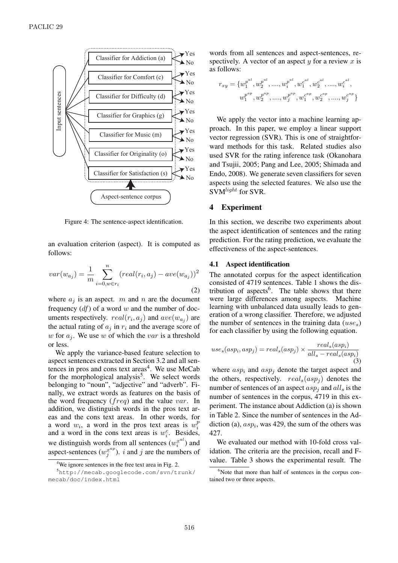

Figure 4: The sentence-aspect identification.

an evaluation criterion (aspect). It is computed as follows:

$$
var(w_{a_j}) = \frac{1}{m} \sum_{i=0, w \in r_i}^{n} (real(r_i, a_j) - ave(w_{a_j}))^2
$$
\n(2)

where  $a_j$  is an aspect. *m* and *n* are the document frequency (*df*) of a word *w* and the number of documents respectively.  $real(r_i, a_j)$  and  $ave(w_{a_j})$  are the actual rating of  $a_j$  in  $r_i$  and the average score of *w* for  $a_j$ . We use *w* of which the *var* is a threshold or less.

We apply the variance-based feature selection to aspect sentences extracted in Section 3.2 and all sentences in pros and cons text areas<sup>4</sup>. We use MeCab for the morphological analysis<sup>5</sup>. We select words belonging to "noun", "adjective" and "adverb". Finally, we extract words as features on the basis of the word frequency (*freq*) and the value *var*. In addition, we distinguish words in the pros text areas and the cons text areas. In other words, for a word  $w_i$ , a word in the pros text areas is  $w_i^p$ *i* and a word in the cons text areas is  $w_i^c$ . Besides, we distinguish words from all sentences  $(w_i^{x^{al}})$  $i^{x^{ai}}$ ) and aspect-sentences  $(w_i^{x^{ap}})$  $j^{x^{ap}}$ ). *i* and *j* are the numbers of

words from all sentences and aspect-sentences, respectively. A vector of an aspect *y* for a review *x* is as follows:

$$
r_{xy} = \{w_1^{p^{al}}, w_2^{p^{al}}, \dots, w_i^{p^{al}}, w_1^{c^{al}}, w_2^{c^{al}}, \dots, w_i^{c^{al}},
$$
  

$$
w_1^{p^{ap}}, w_2^{p^{ap}}, \dots, w_j^{p^{ap}}, w_1^{c^{ap}}, w_2^{c^{ap}}, \dots, w_j^{c^{ap}}\}
$$

We apply the vector into a machine learning approach. In this paper, we employ a linear support vector regression (SVR). This is one of straightforward methods for this task. Related studies also used SVR for the rating inference task (Okanohara and Tsujii, 2005; Pang and Lee, 2005; Shimada and Endo, 2008). We generate seven classifiers for seven aspects using the selected features. We also use the SVM*light* for SVR.

#### 4 Experiment

In this section, we describe two experiments about the aspect identification of sentences and the rating prediction. For the rating prediction, we evaluate the effectiveness of the aspect-sentences.

#### 4.1 Aspect identification

The annotated corpus for the aspect identification consisted of 4719 sentences. Table 1 shows the distribution of aspects<sup>6</sup>. The table shows that there were large differences among aspects. Machine learning with unbalanced data usually leads to generation of a wrong classifier. Therefore, we adjusted the number of sentences in the training data (*uses*) for each classifier by using the following equation.

$$
use_s(asp_i, asp_j) = real_s(asp_j) \times \frac{real_s(asp_i)}{all_s - real_s(asp_i)}
$$
  
(3)

where  $asp_i$  and  $asp_j$  denote the target aspect and the others, respectively.  $real_s(asp_j)$  denotes the number of sentences of an aspect *asp<sup>j</sup>* and *all<sup>s</sup>* is the number of sentences in the corpus, 4719 in this experiment. The instance about Addiction (a) is shown in Table 2. Since the number of sentences in the Addiction (a),  $asp<sub>i</sub>$ , was 429, the sum of the others was 427.

We evaluated our method with 10-fold cross validation. The criteria are the precision, recall and Fvalue. Table 3 shows the experimental result. The

<sup>&</sup>lt;sup>4</sup>We ignore sentences in the free text area in Fig. 2.

<sup>5</sup>http://mecab.googlecode.com/svn/trunk/ mecab/doc/index.html

 $6$ Note that more than half of sentences in the corpus contained two or three aspects.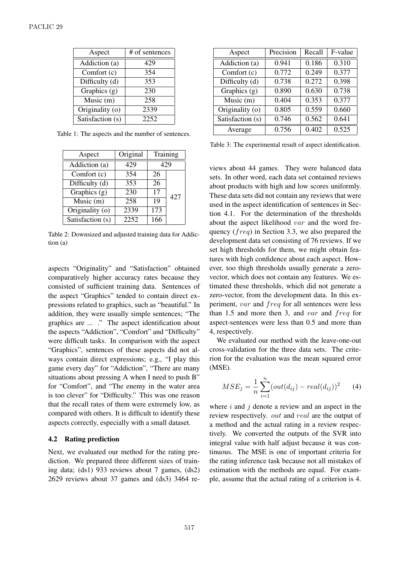| Aspect           | # of sentences |
|------------------|----------------|
| Addiction (a)    | 429            |
| Comfort (c)      | 354            |
| Difficulty (d)   | 353            |
| Graphics $(g)$   | 230            |
| Music $(m)$      | 258            |
| Originality (o)  | 2339           |
| Satisfaction (s) | 2252           |

Table 1: The aspects and the number of sentences.

| Aspect                        | Original | Training         |     |
|-------------------------------|----------|------------------|-----|
| Addiction (a)                 | 429      | 429              |     |
| Comfort (c)                   | 354      | 26               |     |
| Difficulty (d)                | 353      | 26               |     |
| Graphics (g)                  | 230      | 17               | 427 |
| $\overline{\text{Music}}$ (m) | 258      | 19               |     |
| Originality (o)               | 2339     | $\overline{173}$ |     |
| Satisfaction (s)              | 2252     | 166              |     |

Table 2: Downsized and adjusted training data for Addiction (a)

aspects "Originality" and "Satisfaction" obtained comparatively higher accuracy rates because they consisted of sufficient training data. Sentences of the aspect "Graphics" tended to contain direct expressions related to graphics, such as "beautiful." In addition, they were usually simple sentences; "The graphics are ... ." The aspect identification about the aspects "Addiction", "Comfort" and "Difficulty" were difficult tasks. In comparison with the aspect "Graphics", sentences of these aspects did not always contain direct expressions; e.g., "I play this game every day" for "Addiction", "There are many situations about pressing A when I need to push B" for "Comfort", and "The enemy in the water area is too clever" for "Difficulty." This was one reason that the recall rates of them were extremely low, as compared with others. It is difficult to identify these aspects correctly, especially with a small dataset.

## 4.2 Rating prediction

Next, we evaluated our method for the rating prediction. We prepared three different sizes of training data; (ds1) 933 reviews about 7 games, (ds2) 2629 reviews about 37 games and (ds3) 3464 re-

| Aspect           | Precision | Recall | F-value |
|------------------|-----------|--------|---------|
| Addiction (a)    | 0.941     | 0.186  | 0.310   |
| Comfort $(c)$    | 0.772     | 0.249  | 0.377   |
| Difficulty (d)   | 0.738     | 0.272  | 0.398   |
| Graphics $(g)$   | 0.890     | 0.630  | 0.738   |
| Music (m)        | 0.404     | 0.353  | 0.377   |
| Originality (o)  | 0.805     | 0.559  | 0.660   |
| Satisfaction (s) | 0.746     | 0.562  | 0.641   |
| Average          | 0.756     | 0.402  | 0.525   |

Table 3: The experimental result of aspect identification.

views about 44 games. They were balanced data sets. In other word, each data set contained reviews about products with high and low scores uniformly. These data sets did not contain any reviews that were used in the aspect identification of sentences in Section 4.1. For the determination of the thresholds about the aspect likelihood *var* and the word frequency (*freq*) in Section 3.3, we also prepared the development data set consisting of 76 reviews. If we set high thresholds for them, we might obtain features with high confidence about each aspect. However, too thigh thresholds usually generate a zerovector, which does not contain any features. We estimated these thresholds, which did not generate a zero-vector, from the development data. In this experiment, *var* and *freq* for all sentences were less than 1.5 and more then 3, and *var* and *freq* for aspect-sentences were less than 0.5 and more than 4, respectively.

We evaluated our method with the leave-one-out cross-validation for the three data sets. The criterion for the evaluation was the mean squared error (MSE).

$$
MSE_j = \frac{1}{n} \sum_{i=1}^{n} (out(d_{ij}) - real(d_{ij}))^2
$$
 (4)

where *i* and *j* denote a review and an aspect in the review respectively. *out* and *real* are the output of a method and the actual rating in a review respectively. We converted the outputs of the SVR into integral value with half adjust because it was continuous. The MSE is one of important criteria for the rating inference task because not all mistakes of estimation with the methods are equal. For example, assume that the actual rating of a criterion is 4.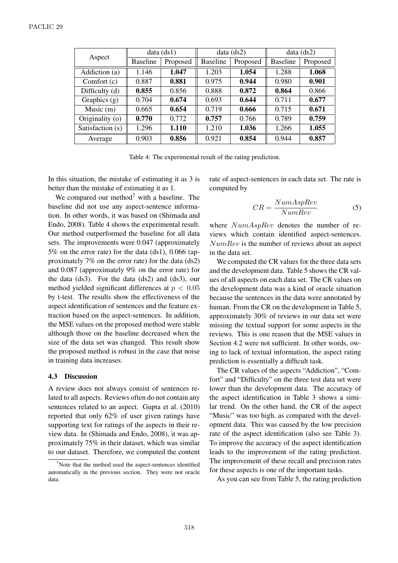| Aspect           | data (ds1)      |          | data (ds2)      |          | data (ds2)      |          |
|------------------|-----------------|----------|-----------------|----------|-----------------|----------|
|                  | <b>Baseline</b> | Proposed | <b>Baseline</b> | Proposed | <b>Baseline</b> | Proposed |
| Addiction (a)    | 1.146           | 1.047    | 1.203           | 1.054    | 1.288           | 1.068    |
| Comfort $(c)$    | 0.887           | 0.881    | 0.975           | 0.944    | 0.980           | 0.901    |
| Difficulty (d)   | 0.855           | 0.856    | 0.888           | 0.872    | 0.864           | 0.866    |
| Graphics $(g)$   | 0.704           | 0.674    | 0.693           | 0.644    | 0.711           | 0.677    |
| Music $(m)$      | 0.665           | 0.654    | 0.719           | 0.666    | 0.715           | 0.671    |
| Originality (o)  | 0.770           | 0.772    | 0.757           | 0.766    | 0.789           | 0.759    |
| Satisfaction (s) | 1.296           | 1.110    | 1.210           | 1.036    | 1.266           | 1.055    |
| Average          | 0.903           | 0.856    | 0.921           | 0.854    | 0.944           | 0.857    |

Table 4: The experimental result of the rating prediction.

In this situation, the mistake of estimating it as 3 is better than the mistake of estimating it as 1.

We compared our method<sup>7</sup> with a baseline. The baseline did not use any aspect-sentence information. In other words, it was based on (Shimada and Endo, 2008). Table 4 shows the experimental result. Our method outperformed the baseline for all data sets. The improvements were 0.047 (approximately 5% on the error rate) for the data (ds1), 0.066 (approximately 7% on the error rate) for the data (ds2) and 0.087 (approximately 9% on the error rate) for the data  $(ds3)$ . For the data  $(ds2)$  and  $(ds3)$ , our method yielded significant differences at *p <* 0*.*05 by t-test. The results show the effectiveness of the aspect identification of sentences and the feature extraction based on the aspect-sentences. In addition, the MSE values on the proposed method were stable although those on the baseline decreased when the size of the data set was changed. This result show the proposed method is robust in the case that noise in training data increases.

#### 4.3 Discussion

A review does not always consist of sentences related to all aspects. Reviews often do not contain any sentences related to an aspect. Gupta et al. (2010) reported that only 62% of user given ratings have supporting text for ratings of the aspects in their review data. In (Shimada and Endo, 2008), it was approximately 75% in their dataset, which was similar to our dataset. Therefore, we computed the content rate of aspect-sentences in each data set. The rate is computed by

$$
CR = \frac{NumAspRev}{NumRev}
$$
 (5)

where *NumAspRev* denotes the number of reviews which contain identified aspect-sentences. *NumRev* is the number of reviews about an aspect in the data set.

We computed the CR values for the three data sets and the development data. Table 5 shows the CR values of all aspects on each data set. The CR values on the development data was a kind of oracle situation because the sentences in the data were annotated by human. From the CR on the development in Table 5, approximately 30% of reviews in our data set were missing the textual support for some aspects in the reviews. This is one reason that the MSE values in Section 4.2 were not sufficient. In other words, owing to lack of textual information, the aspect rating prediction is essentially a difficult task.

The CR values of the aspects "Addiction", "Comfort" and "Difficulty" on the three test data set were lower than the development data. The accuracy of the aspect identification in Table 3 shows a similar trend. On the other hand, the CR of the aspect "Music" was too high, as compared with the development data. This was caused by the low precision rate of the aspect identification (also see Table 3). To improve the accuracy of the aspect identification leads to the improvement of the rating prediction. The improvement of these recall and precision rates for these aspects is one of the important tasks.

As you can see from Table 5, the rating prediction

 $7$ Note that the method used the aspect-sentences identified automatically in the previous section. They were not oracle data.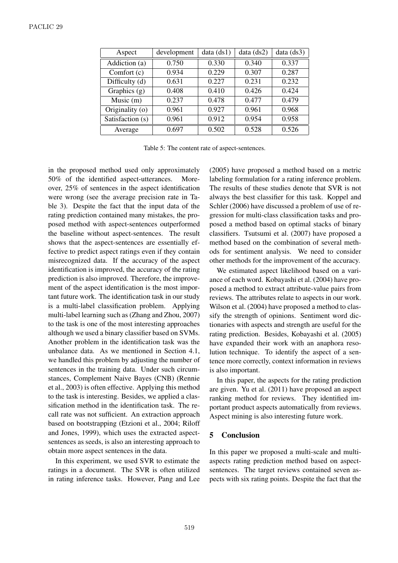| Aspect           | development | data (ds1) | data (ds2) | data(ds3) |
|------------------|-------------|------------|------------|-----------|
| Addiction (a)    | 0.750       | 0.330      | 0.340      | 0.337     |
| Comfort (c)      | 0.934       | 0.229      | 0.307      | 0.287     |
| Difficulty (d)   | 0.631       | 0.227      | 0.231      | 0.232     |
| Graphics $(g)$   | 0.408       | 0.410      | 0.426      | 0.424     |
| Music $(m)$      | 0.237       | 0.478      | 0.477      | 0.479     |
| Originality (o)  | 0.961       | 0.927      | 0.961      | 0.968     |
| Satisfaction (s) | 0.961       | 0.912      | 0.954      | 0.958     |
| Average          | 0.697       | 0.502      | 0.528      | 0.526     |

Table 5: The content rate of aspect-sentences.

in the proposed method used only approximately 50% of the identified aspect-utterances. Moreover, 25% of sentences in the aspect identification were wrong (see the average precision rate in Table 3). Despite the fact that the input data of the rating prediction contained many mistakes, the proposed method with aspect-sentences outperformed the baseline without aspect-sentences. The result shows that the aspect-sentences are essentially effective to predict aspect ratings even if they contain misrecognized data. If the accuracy of the aspect identification is improved, the accuracy of the rating prediction is also improved. Therefore, the improvement of the aspect identification is the most important future work. The identification task in our study is a multi-label classification problem. Applying multi-label learning such as (Zhang and Zhou, 2007) to the task is one of the most interesting approaches although we used a binary classifier based on SVMs. Another problem in the identification task was the unbalance data. As we mentioned in Section 4.1, we handled this problem by adjusting the number of sentences in the training data. Under such circumstances, Complement Naive Bayes (CNB) (Rennie et al., 2003) is often effective. Applying this method to the task is interesting. Besides, we applied a classification method in the identification task. The recall rate was not sufficient. An extraction approach based on bootstrapping (Etzioni et al., 2004; Riloff and Jones, 1999), which uses the extracted aspectsentences as seeds, is also an interesting approach to obtain more aspect sentences in the data.

In this experiment, we used SVR to estimate the ratings in a document. The SVR is often utilized in rating inference tasks. However, Pang and Lee

(2005) have proposed a method based on a metric labeling formulation for a rating inference problem. The results of these studies denote that SVR is not always the best classifier for this task. Koppel and Schler (2006) have discussed a problem of use of regression for multi-class classification tasks and proposed a method based on optimal stacks of binary classifiers. Tsutsumi et al. (2007) have proposed a method based on the combination of several methods for sentiment analysis. We need to consider other methods for the improvement of the accuracy.

We estimated aspect likelihood based on a variance of each word. Kobayashi et al. (2004) have proposed a method to extract attribute-value pairs from reviews. The attributes relate to aspects in our work. Wilson et al. (2004) have proposed a method to classify the strength of opinions. Sentiment word dictionaries with aspects and strength are useful for the rating prediction. Besides, Kobayashi et al. (2005) have expanded their work with an anaphora resolution technique. To identify the aspect of a sentence more correctly, context information in reviews is also important.

In this paper, the aspects for the rating prediction are given. Yu et al. (2011) have proposed an aspect ranking method for reviews. They identified important product aspects automatically from reviews. Aspect mining is also interesting future work.

# 5 Conclusion

In this paper we proposed a multi-scale and multiaspects rating prediction method based on aspectsentences. The target reviews contained seven aspects with six rating points. Despite the fact that the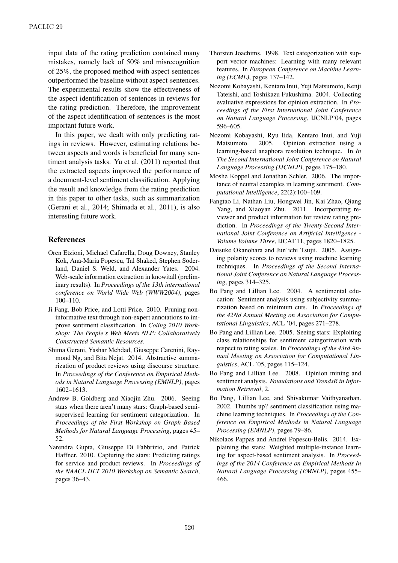input data of the rating prediction contained many mistakes, namely lack of 50% and misrecognition of 25%, the proposed method with aspect-sentences outperformed the baseline without aspect-sentences. The experimental results show the effectiveness of the aspect identification of sentences in reviews for the rating prediction. Therefore, the improvement of the aspect identification of sentences is the most important future work.

In this paper, we dealt with only predicting ratings in reviews. However, estimating relations between aspects and words is beneficial for many sentiment analysis tasks. Yu et al. (2011) reported that the extracted aspects improved the performance of a document-level sentiment classification. Applying the result and knowledge from the rating prediction in this paper to other tasks, such as summarization (Gerani et al., 2014; Shimada et al., 2011), is also interesting future work.

# References

- Oren Etzioni, Michael Cafarella, Doug Downey, Stanley Kok, Ana-Maria Popescu, Tal Shaked, Stephen Soderland, Daniel S. Weld, and Alexander Yates. 2004. Web-scale information extraction in knowitall (preliminary results). In *Proceedings of the 13th international conference on World Wide Web (WWW2004)*, pages 100–110.
- Ji Fang, Bob Price, and Lotti Price. 2010. Pruning noninformative text through non-expert annotations to improve sentiment classification. In *Coling 2010 Workshop: The People's Web Meets NLP: Collaboratively Constructed Semantic Resources*.
- Shima Gerani, Yashar Mehdad, Giuseppe Carenini, Raymond Ng, and Bita Nejat. 2014. Abstractive summarization of product reviews using discourse structure. In *Proceedings of the Conference on Empirical Methods in Natural Language Processing (EMNLP)*, pages 1602–1613.
- Andrew B. Goldberg and Xiaojin Zhu. 2006. Seeing stars when there aren't many stars: Graph-based semisupervised learning for sentiment categorization. In *Proceedings of the First Workshop on Graph Based Methods for Natural Language Processing*, pages 45– 52.
- Narendra Gupta, Giuseppe Di Fabbrizio, and Patrick Haffner. 2010. Capturing the stars: Predicting ratings for service and product reviews. In *Proceedings of the NAACL HLT 2010 Workshop on Semantic Search*, pages 36–43.
- Thorsten Joachims. 1998. Text categorization with support vector machines: Learning with many relevant features. In *European Conference on Machine Learning (ECML)*, pages 137–142.
- Nozomi Kobayashi, Kentaro Inui, Yuji Matsumoto, Kenji Tateishi, and Toshikazu Fukushima. 2004. Collecting evaluative expressions for opinion extraction. In *Proceedings of the First International Joint Conference on Natural Language Processing*, IJCNLP'04, pages 596–605.
- Nozomi Kobayashi, Ryu Iida, Kentaro Inui, and Yuji Matsumoto. 2005. Opinion extraction using a learning-based anaphora resolution technique. In *In The Second International Joint Conference on Natural Language Processing (IJCNLP)*, pages 175–180.
- Moshe Koppel and Jonathan Schler. 2006. The importance of neutral examples in learning sentiment. *Computational Intelligence*, 22(2):100–109.
- Fangtao Li, Nathan Liu, Hongwei Jin, Kai Zhao, Qiang Yang, and Xiaoyan Zhu. 2011. Incorporating reviewer and product information for review rating prediction. In *Proceedings of the Twenty-Second International Joint Conference on Artificial Intelligence - Volume Volume Three*, IJCAI'11, pages 1820–1825.
- Daisuke Okanohara and Jun'ichi Tsujii. 2005. Assigning polarity scores to reviews using machine learning techniques. In *Proceedings of the Second International Joint Conference on Natural Language Processing*, pages 314–325.
- Bo Pang and Lillian Lee. 2004. A sentimental education: Sentiment analysis using subjectivity summarization based on minimum cuts. In *Proceedings of the 42Nd Annual Meeting on Association for Computational Linguistics*, ACL '04, pages 271–278.
- Bo Pang and Lillian Lee. 2005. Seeing stars: Exploiting class relationships for sentiment categorization with respect to rating scales. In *Proceedings of the 43rd Annual Meeting on Association for Computational Linguistics*, ACL '05, pages 115–124.
- Bo Pang and Lillian Lee. 2008. Opinion mining and sentiment analysis. *Foundations and TrendsR in Information Retrieval*, 2.
- Bo Pang, Lillian Lee, and Shivakumar Vaithyanathan. 2002. Thumbs up? sentiment classification using machine learning techniques. In *Proceedings of the Conference on Empirical Methods in Natural Language Processing (EMNLP)*, pages 79–86.
- Nikolaos Pappas and Andrei Popescu-Belis. 2014. Explaining the stars: Weighted multiple-instance learning for aspect-based sentiment analysis. In *Proceedings of the 2014 Conference on Empirical Methods In Natural Language Processing (EMNLP)*, pages 455– 466.